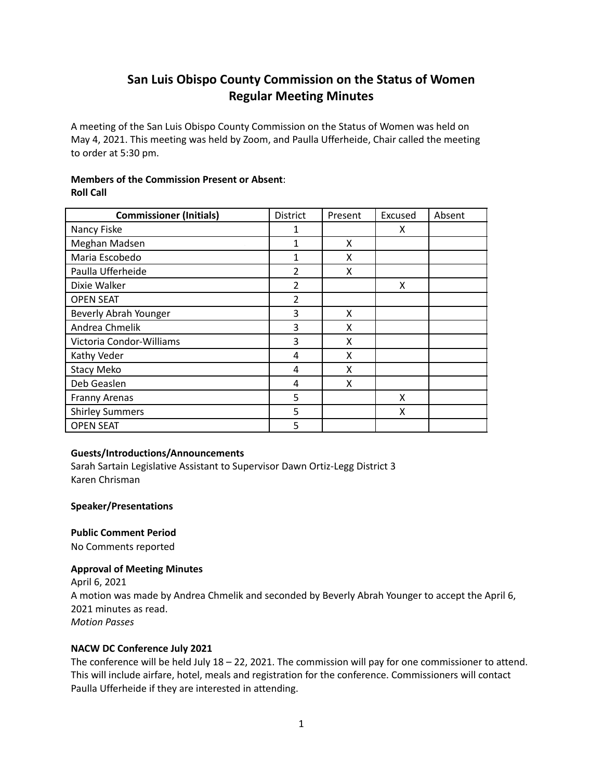# **San Luis Obispo County Commission on the Status of Women Regular Meeting Minutes**

A meeting of the San Luis Obispo County Commission on the Status of Women was held on May 4, 2021. This meeting was held by Zoom, and Paulla Ufferheide, Chair called the meeting to order at 5:30 pm.

# **Members of the Commission Present or Absent**: **Roll Call**

| <b>Commissioner (Initials)</b> | District       | Present | Excused | Absent |
|--------------------------------|----------------|---------|---------|--------|
| Nancy Fiske                    | 1              |         | X       |        |
| Meghan Madsen                  | 1              | x       |         |        |
| Maria Escobedo                 | 1              | x       |         |        |
| Paulla Ufferheide              | $\overline{2}$ | X       |         |        |
| Dixie Walker                   | $\overline{2}$ |         | X       |        |
| <b>OPEN SEAT</b>               | $\overline{2}$ |         |         |        |
| Beverly Abrah Younger          | 3              | x       |         |        |
| Andrea Chmelik                 | 3              | x       |         |        |
| Victoria Condor-Williams       | 3              | x       |         |        |
| Kathy Veder                    | 4              | X       |         |        |
| <b>Stacy Meko</b>              | 4              | x       |         |        |
| Deb Geaslen                    | 4              | x       |         |        |
| Franny Arenas                  | 5              |         | x       |        |
| <b>Shirley Summers</b>         | 5              |         | x       |        |
| <b>OPEN SEAT</b>               | 5              |         |         |        |

# **Guests/Introductions/Announcements**

Sarah Sartain Legislative Assistant to Supervisor Dawn Ortiz-Legg District 3 Karen Chrisman

# **Speaker/Presentations**

**Public Comment Period**

No Comments reported

# **Approval of Meeting Minutes**

April 6, 2021 A motion was made by Andrea Chmelik and seconded by Beverly Abrah Younger to accept the April 6, 2021 minutes as read. *Motion Passes*

# **NACW DC Conference July 2021**

The conference will be held July 18 – 22, 2021. The commission will pay for one commissioner to attend. This will include airfare, hotel, meals and registration for the conference. Commissioners will contact Paulla Ufferheide if they are interested in attending.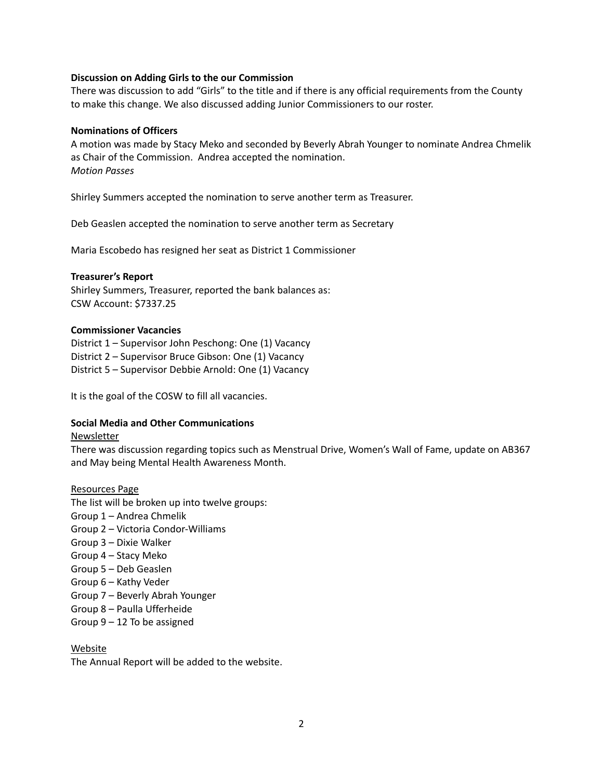## **Discussion on Adding Girls to the our Commission**

There was discussion to add "Girls" to the title and if there is any official requirements from the County to make this change. We also discussed adding Junior Commissioners to our roster.

## **Nominations of Officers**

A motion was made by Stacy Meko and seconded by Beverly Abrah Younger to nominate Andrea Chmelik as Chair of the Commission. Andrea accepted the nomination. *Motion Passes*

Shirley Summers accepted the nomination to serve another term as Treasurer.

Deb Geaslen accepted the nomination to serve another term as Secretary

Maria Escobedo has resigned her seat as District 1 Commissioner

### **Treasurer's Report**

Shirley Summers, Treasurer, reported the bank balances as: CSW Account: \$7337.25

### **Commissioner Vacancies**

District 1 – Supervisor John Peschong: One (1) Vacancy District 2 – Supervisor Bruce Gibson: One (1) Vacancy District 5 – Supervisor Debbie Arnold: One (1) Vacancy

It is the goal of the COSW to fill all vacancies.

# **Social Media and Other Communications**

#### Newsletter

There was discussion regarding topics such as Menstrual Drive, Women's Wall of Fame, update on AB367 and May being Mental Health Awareness Month.

#### Resources Page

The list will be broken up into twelve groups: Group 1 – Andrea Chmelik Group 2 – Victoria Condor-Williams Group 3 – Dixie Walker Group 4 – Stacy Meko Group 5 – Deb Geaslen Group 6 – Kathy Veder Group 7 – Beverly Abrah Younger Group 8 – Paulla Ufferheide Group 9 – 12 To be assigned

## Website

The Annual Report will be added to the website.